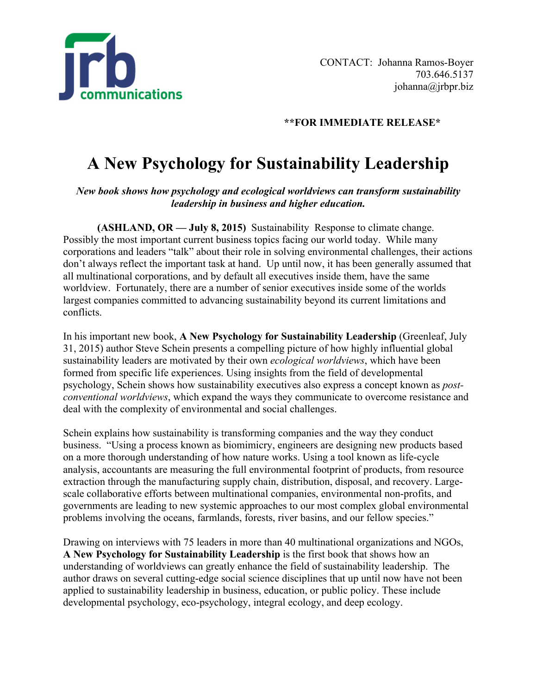

## **\*\*FOR IMMEDIATE RELEASE\***

## **A New Psychology for Sustainability Leadership**

*New book shows how psychology and ecological worldviews can transform sustainability leadership in business and higher education.*

**(ASHLAND, OR — July 8, 2015)** Sustainability Response to climate change. Possibly the most important current business topics facing our world today. While many corporations and leaders "talk" about their role in solving environmental challenges, their actions don't always reflect the important task at hand. Up until now, it has been generally assumed that all multinational corporations, and by default all executives inside them, have the same worldview. Fortunately, there are a number of senior executives inside some of the worlds largest companies committed to advancing sustainability beyond its current limitations and conflicts.

In his important new book, **A New Psychology for Sustainability Leadership** (Greenleaf, July 31, 2015) author Steve Schein presents a compelling picture of how highly influential global sustainability leaders are motivated by their own *ecological worldviews*, which have been formed from specific life experiences. Using insights from the field of developmental psychology, Schein shows how sustainability executives also express a concept known as *postconventional worldviews*, which expand the ways they communicate to overcome resistance and deal with the complexity of environmental and social challenges.

Schein explains how sustainability is transforming companies and the way they conduct business. "Using a process known as biomimicry, engineers are designing new products based on a more thorough understanding of how nature works. Using a tool known as life-cycle analysis, accountants are measuring the full environmental footprint of products, from resource extraction through the manufacturing supply chain, distribution, disposal, and recovery. Largescale collaborative efforts between multinational companies, environmental non-profits, and governments are leading to new systemic approaches to our most complex global environmental problems involving the oceans, farmlands, forests, river basins, and our fellow species."

Drawing on interviews with 75 leaders in more than 40 multinational organizations and NGOs, **A New Psychology for Sustainability Leadership** is the first book that shows how an understanding of worldviews can greatly enhance the field of sustainability leadership. The author draws on several cutting-edge social science disciplines that up until now have not been applied to sustainability leadership in business, education, or public policy. These include developmental psychology, eco-psychology, integral ecology, and deep ecology.